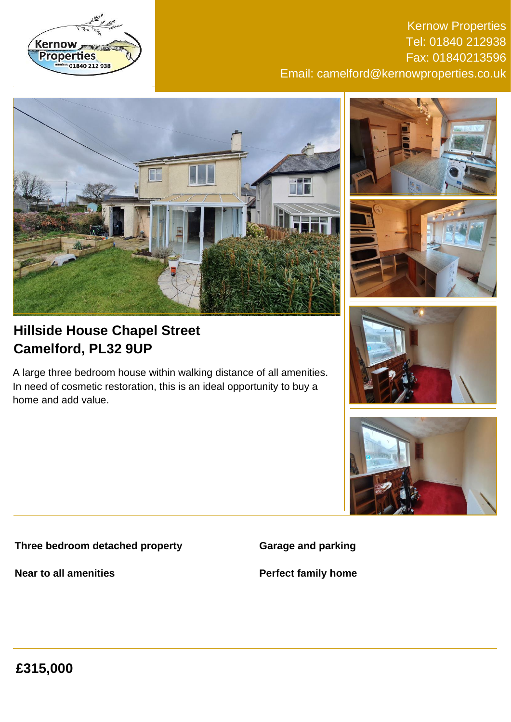

Kernow Properties Tel: 01840 212938 Fax: 01840213596 Email: camelford@kernowproperties.co.uk



# **Hillside House Chapel Street Camelford, PL32 9UP**

A large three bedroom house within walking distance of all amenities. In need of cosmetic restoration, this is an ideal opportunity to buy a home and add value.

# **Three bedroom detached property**

**Near to all amenities**









**Garage and parking**

**Perfect family home**